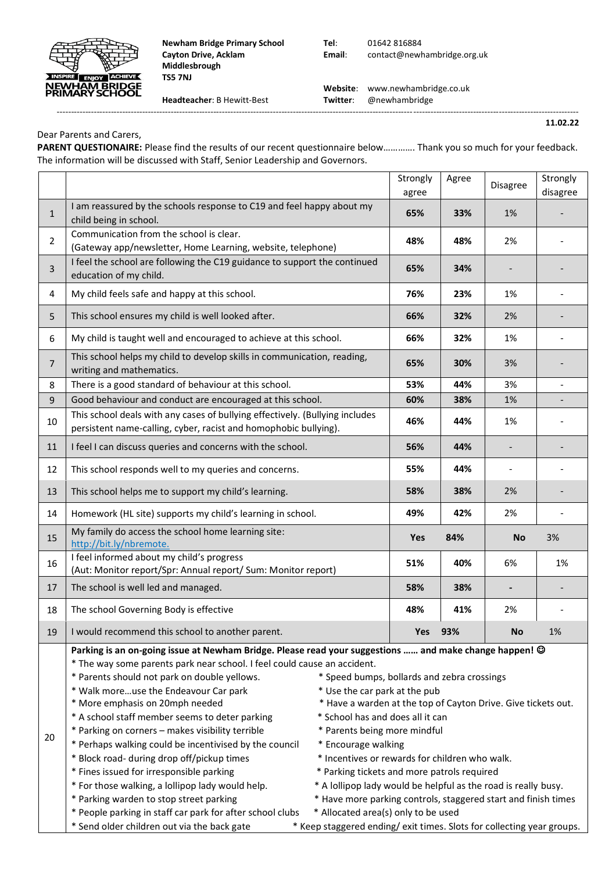

**Newham Bridge Primary School Tel**: 01642 816884 **Middlesbrough TS5 7NJ**

**Cayton Drive, Acklam Email**: contact@newhambridge.org.uk

 **Website**: www.newhambridge.co.uk **Headteacher**: B Hewitt-Best **Twitter**: @newhambridge

--------------------------------------------------------------------------------------------------------------------------------------------------------------------------------------- **11.02.22**

Dear Parents and Carers,

**PARENT QUESTIONAIRE:** Please find the results of our recent questionnaire below…………. Thank you so much for your feedback. The information will be discussed with Staff, Senior Leadership and Governors.

|                |                                                                                                                                                                                                                                                                                                                                                                                                                                                                                                                                                                                                                                                                                                                                                                                                                                                                                                                                                                                                                                                                                                                                                                                                                                                                                                                                                                                       | Strongly<br>agree | Agree | Disagree                 | Strongly<br>disagree     |  |
|----------------|---------------------------------------------------------------------------------------------------------------------------------------------------------------------------------------------------------------------------------------------------------------------------------------------------------------------------------------------------------------------------------------------------------------------------------------------------------------------------------------------------------------------------------------------------------------------------------------------------------------------------------------------------------------------------------------------------------------------------------------------------------------------------------------------------------------------------------------------------------------------------------------------------------------------------------------------------------------------------------------------------------------------------------------------------------------------------------------------------------------------------------------------------------------------------------------------------------------------------------------------------------------------------------------------------------------------------------------------------------------------------------------|-------------------|-------|--------------------------|--------------------------|--|
| $\mathbf{1}$   | I am reassured by the schools response to C19 and feel happy about my<br>child being in school.                                                                                                                                                                                                                                                                                                                                                                                                                                                                                                                                                                                                                                                                                                                                                                                                                                                                                                                                                                                                                                                                                                                                                                                                                                                                                       | 65%               | 33%   | 1%                       |                          |  |
| $\overline{2}$ | Communication from the school is clear.<br>(Gateway app/newsletter, Home Learning, website, telephone)                                                                                                                                                                                                                                                                                                                                                                                                                                                                                                                                                                                                                                                                                                                                                                                                                                                                                                                                                                                                                                                                                                                                                                                                                                                                                | 48%               | 48%   | 2%                       |                          |  |
| 3              | I feel the school are following the C19 guidance to support the continued<br>education of my child.                                                                                                                                                                                                                                                                                                                                                                                                                                                                                                                                                                                                                                                                                                                                                                                                                                                                                                                                                                                                                                                                                                                                                                                                                                                                                   | 65%               | 34%   |                          |                          |  |
| 4              | My child feels safe and happy at this school.                                                                                                                                                                                                                                                                                                                                                                                                                                                                                                                                                                                                                                                                                                                                                                                                                                                                                                                                                                                                                                                                                                                                                                                                                                                                                                                                         | 76%               | 23%   | 1%                       |                          |  |
| 5              | This school ensures my child is well looked after.                                                                                                                                                                                                                                                                                                                                                                                                                                                                                                                                                                                                                                                                                                                                                                                                                                                                                                                                                                                                                                                                                                                                                                                                                                                                                                                                    | 66%               | 32%   | 2%                       |                          |  |
| 6              | My child is taught well and encouraged to achieve at this school.                                                                                                                                                                                                                                                                                                                                                                                                                                                                                                                                                                                                                                                                                                                                                                                                                                                                                                                                                                                                                                                                                                                                                                                                                                                                                                                     | 66%               | 32%   | 1%                       |                          |  |
| $\overline{7}$ | This school helps my child to develop skills in communication, reading,<br>writing and mathematics.                                                                                                                                                                                                                                                                                                                                                                                                                                                                                                                                                                                                                                                                                                                                                                                                                                                                                                                                                                                                                                                                                                                                                                                                                                                                                   | 65%               | 30%   | 3%                       |                          |  |
| 8              | There is a good standard of behaviour at this school.                                                                                                                                                                                                                                                                                                                                                                                                                                                                                                                                                                                                                                                                                                                                                                                                                                                                                                                                                                                                                                                                                                                                                                                                                                                                                                                                 | 53%               | 44%   | 3%                       | $\overline{\phantom{a}}$ |  |
| 9              | Good behaviour and conduct are encouraged at this school.                                                                                                                                                                                                                                                                                                                                                                                                                                                                                                                                                                                                                                                                                                                                                                                                                                                                                                                                                                                                                                                                                                                                                                                                                                                                                                                             | 60%               | 38%   | 1%                       |                          |  |
| 10             | This school deals with any cases of bullying effectively. (Bullying includes<br>persistent name-calling, cyber, racist and homophobic bullying).                                                                                                                                                                                                                                                                                                                                                                                                                                                                                                                                                                                                                                                                                                                                                                                                                                                                                                                                                                                                                                                                                                                                                                                                                                      | 46%               | 44%   | 1%                       |                          |  |
| 11             | I feel I can discuss queries and concerns with the school.                                                                                                                                                                                                                                                                                                                                                                                                                                                                                                                                                                                                                                                                                                                                                                                                                                                                                                                                                                                                                                                                                                                                                                                                                                                                                                                            | 56%               | 44%   |                          |                          |  |
| 12             | This school responds well to my queries and concerns.                                                                                                                                                                                                                                                                                                                                                                                                                                                                                                                                                                                                                                                                                                                                                                                                                                                                                                                                                                                                                                                                                                                                                                                                                                                                                                                                 | 55%               | 44%   | $\overline{\phantom{a}}$ |                          |  |
| 13             | This school helps me to support my child's learning.                                                                                                                                                                                                                                                                                                                                                                                                                                                                                                                                                                                                                                                                                                                                                                                                                                                                                                                                                                                                                                                                                                                                                                                                                                                                                                                                  | 58%               | 38%   | 2%                       |                          |  |
| 14             | Homework (HL site) supports my child's learning in school.                                                                                                                                                                                                                                                                                                                                                                                                                                                                                                                                                                                                                                                                                                                                                                                                                                                                                                                                                                                                                                                                                                                                                                                                                                                                                                                            | 49%               | 42%   | 2%                       |                          |  |
| 15             | My family do access the school home learning site:<br>http://bit.ly/nbremote.                                                                                                                                                                                                                                                                                                                                                                                                                                                                                                                                                                                                                                                                                                                                                                                                                                                                                                                                                                                                                                                                                                                                                                                                                                                                                                         |                   | 84%   | <b>No</b>                | 3%                       |  |
| 16             | I feel informed about my child's progress<br>(Aut: Monitor report/Spr: Annual report/ Sum: Monitor report)                                                                                                                                                                                                                                                                                                                                                                                                                                                                                                                                                                                                                                                                                                                                                                                                                                                                                                                                                                                                                                                                                                                                                                                                                                                                            | 51%               | 40%   | 6%                       | 1%                       |  |
| 17             | The school is well led and managed.                                                                                                                                                                                                                                                                                                                                                                                                                                                                                                                                                                                                                                                                                                                                                                                                                                                                                                                                                                                                                                                                                                                                                                                                                                                                                                                                                   | 58%               | 38%   |                          |                          |  |
| 18             | The school Governing Body is effective                                                                                                                                                                                                                                                                                                                                                                                                                                                                                                                                                                                                                                                                                                                                                                                                                                                                                                                                                                                                                                                                                                                                                                                                                                                                                                                                                |                   | 41%   | 2%                       |                          |  |
| 19             | I would recommend this school to another parent.                                                                                                                                                                                                                                                                                                                                                                                                                                                                                                                                                                                                                                                                                                                                                                                                                                                                                                                                                                                                                                                                                                                                                                                                                                                                                                                                      | 93%<br><b>Yes</b> |       | <b>No</b>                | 1%                       |  |
| 20             | Parking is an on-going issue at Newham Bridge. Please read your suggestions  and make change happen! ©<br>* The way some parents park near school. I feel could cause an accident.<br>* Parents should not park on double yellows.<br>* Speed bumps, bollards and zebra crossings<br>* Walk moreuse the Endeavour Car park<br>* Use the car park at the pub<br>* More emphasis on 20mph needed<br>* Have a warden at the top of Cayton Drive. Give tickets out.<br>* A school staff member seems to deter parking<br>* School has and does all it can<br>* Parking on corners - makes visibility terrible<br>* Parents being more mindful<br>* Perhaps walking could be incentivised by the council<br>* Encourage walking<br>* Block road- during drop off/pickup times<br>* Incentives or rewards for children who walk.<br>* Fines issued for irresponsible parking<br>* Parking tickets and more patrols required<br>* For those walking, a lollipop lady would help.<br>* A lollipop lady would be helpful as the road is really busy.<br>* Parking warden to stop street parking<br>* Have more parking controls, staggered start and finish times<br>* People parking in staff car park for after school clubs<br>* Allocated area(s) only to be used<br>* Send older children out via the back gate<br>* Keep staggered ending/ exit times. Slots for collecting year groups. |                   |       |                          |                          |  |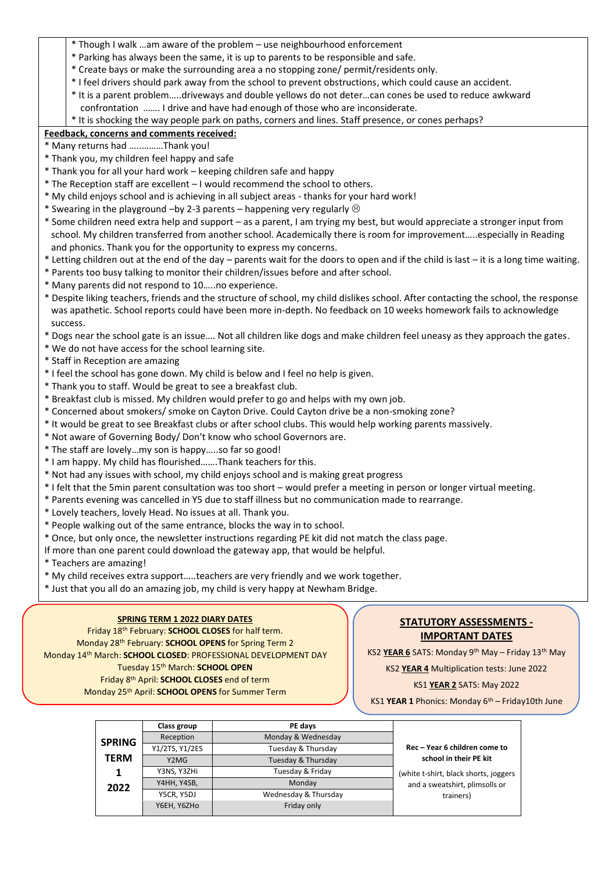- \* Though I walk …am aware of the problem use neighbourhood enforcement
- \* Parking has always been the same, it is up to parents to be responsible and safe.
- \* Create bays or make the surrounding area a no stopping zone/ permit/residents only.
- \* I feel drivers should park away from the school to prevent obstructions, which could cause an accident.
- \* It is a parent problem…..driveways and double yellows do not deter…can cones be used to reduce awkward confrontation ……. I drive and have had enough of those who are inconsiderate.
- \* It is shocking the way people park on paths, corners and lines. Staff presence, or cones perhaps?

## **Feedback, concerns and comments received:**

- \* Many returns had …..………Thank you!
- \* Thank you, my children feel happy and safe
- \* Thank you for all your hard work keeping children safe and happy
- \* The Reception staff are excellent I would recommend the school to others.
- \* My child enjoys school and is achieving in all subject areas thanks for your hard work!
- \* Swearing in the playground –by 2-3 parents happening very regularly  $\odot$
- \* Some children need extra help and support as a parent, I am trying my best, but would appreciate a stronger input from school. My children transferred from another school. Academically there is room for improvement…..especially in Reading and phonics. Thank you for the opportunity to express my concerns.
- \* Letting children out at the end of the day parents wait for the doors to open and if the child is last it is a long time waiting.
- \* Parents too busy talking to monitor their children/issues before and after school.
- \* Many parents did not respond to 10…..no experience.
- \* Despite liking teachers, friends and the structure of school, my child dislikes school. After contacting the school, the response was apathetic. School reports could have been more in-depth. No feedback on 10 weeks homework fails to acknowledge success.
- \* Dogs near the school gate is an issue…. Not all children like dogs and make children feel uneasy as they approach the gates.
- \* We do not have access for the school learning site.
- \* Staff in Reception are amazing
- \* I feel the school has gone down. My child is below and I feel no help is given.
- \* Thank you to staff. Would be great to see a breakfast club.
- \* Breakfast club is missed. My children would prefer to go and helps with my own job.
- \* Concerned about smokers/ smoke on Cayton Drive. Could Cayton drive be a non-smoking zone?
- \* It would be great to see Breakfast clubs or after school clubs. This would help working parents massively.
- \* Not aware of Governing Body/ Don't know who school Governors are.
- \* The staff are lovely…my son is happy…..so far so good!
- \* I am happy. My child has flourished…….Thank teachers for this.
- \* Not had any issues with school, my child enjoys school and is making great progress
- \* I felt that the 5min parent consultation was too short would prefer a meeting in person or longer virtual meeting.
- \* Parents evening was cancelled in Y5 due to staff illness but no communication made to rearrange.
- \* Lovely teachers, lovely Head. No issues at all. Thank you.
- \* People walking out of the same entrance, blocks the way in to school.
- \* Once, but only once, the newsletter instructions regarding PE kit did not match the class page.
- If more than one parent could download the gateway app, that would be helpful.
- \* Teachers are amazing!
- \* My child receives extra support…..teachers are very friendly and we work together.
- \* Just that you all do an amazing job, my child is very happy at Newham Bridge.

### **SPRING TERM 1 2022 DIARY DATES**

Friday 18 th February: **SCHOOL CLOSES** for half term. Monday 28 th February: **SCHOOL OPENS** for Spring Term 2 Monday 14<sup>th</sup> March: **SCHOOL CLOSED**: PROFESSIONAL DEVELOPMENT DAY Tuesday 15 th March: **SCHOOL OPEN** Friday 8 th April: **SCHOOL CLOSES** end of term Monday 25 th April: **SCHOOL OPENS** for Summer Term

## **STATUTORY ASSESSMENTS - IMPORTANT DATES**

KS2 **YEAR 6** SATS: Monday 9th May – Friday 13th May

KS2 **YEAR 4** Multiplication tests: June 2022

### KS1 **YEAR 2** SATS: May 2022

KS1 YEAR 1 Phonics: Monday 6<sup>th</sup> – Friday10th June

|               | Class group    | PE days              |                                                                         |  |
|---------------|----------------|----------------------|-------------------------------------------------------------------------|--|
| <b>SPRING</b> | Reception      | Monday & Wednesday   |                                                                         |  |
|               | Y1/2TS, Y1/2ES | Tuesday & Thursday   | Rec - Year 6 children come to                                           |  |
| <b>TERM</b>   | Y2MG           | Tuesday & Thursday   | school in their PE kit                                                  |  |
| 1             | Y3NS, Y3ZHi    | Tuesday & Friday     | (white t-shirt, black shorts, joggers<br>and a sweatshirt, plimsolls or |  |
| 2022          | Y4HH, Y4SB,    | Monday               |                                                                         |  |
|               | Y5CR, Y5DJ     | Wednesday & Thursday | trainers)                                                               |  |
|               | Y6EH, Y6ZHo    | Friday only          |                                                                         |  |